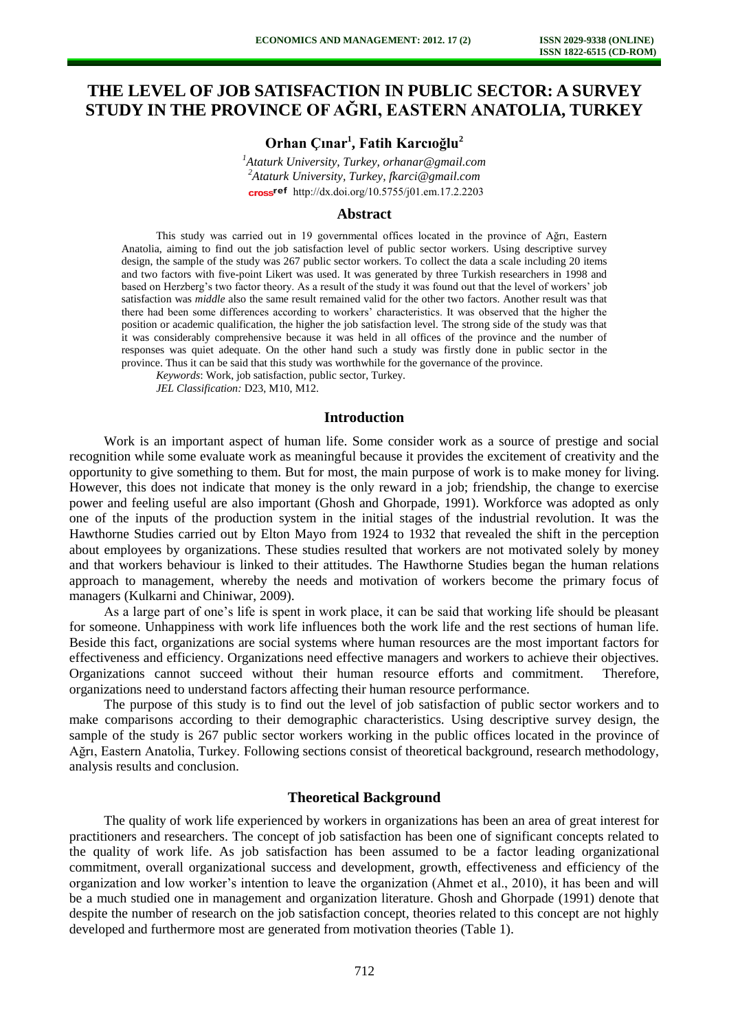# **THE LEVEL OF JOB SATISFACTION IN PUBLIC SECTOR: A SURVEY STUDY IN THE PROVINCE OF AĞRI, EASTERN ANATOLIA, TURKEY**

## **Orhan Çınar<sup>1</sup> , Fatih Karcıoğlu<sup>2</sup>**

*<sup>1</sup>Ataturk University, Turkey, orhanar@gmail.com <sup>2</sup>Ataturk University, Turkey, fkarci@gmail.com*  cross<sup>ref</sup> [http://dx.doi.org/10.5755/j01.e](http://dx.doi.org/10.5755/j01.em.17.2.2203)m.17.2.2203

#### **Abstract**

This study was carried out in 19 governmental offices located in the province of Ağrı, Eastern Anatolia, aiming to find out the job satisfaction level of public sector workers. Using descriptive survey design, the sample of the study was 267 public sector workers. To collect the data a scale including 20 items and two factors with five-point Likert was used. It was generated by three Turkish researchers in 1998 and based on Herzberg's two factor theory. As a result of the study it was found out that the level of workers' job satisfaction was *middle* also the same result remained valid for the other two factors. Another result was that there had been some differences according to workers' characteristics. It was observed that the higher the position or academic qualification, the higher the job satisfaction level. The strong side of the study was that it was considerably comprehensive because it was held in all offices of the province and the number of responses was quiet adequate. On the other hand such a study was firstly done in public sector in the province. Thus it can be said that this study was worthwhile for the governance of the province.

*Keywords*: Work, job satisfaction, public sector, Turkey.

*JEL Classification:* D23, M10, M12.

### **Introduction**

Work is an important aspect of human life. Some consider work as a source of prestige and social recognition while some evaluate work as meaningful because it provides the excitement of creativity and the opportunity to give something to them. But for most, the main purpose of work is to make money for living. However, this does not indicate that money is the only reward in a job; friendship, the change to exercise power and feeling useful are also important (Ghosh and Ghorpade, 1991). Workforce was adopted as only one of the inputs of the production system in the initial stages of the industrial revolution. It was the Hawthorne Studies carried out by Elton Mayo from 1924 to 1932 that revealed the shift in the perception about employees by organizations. These studies resulted that workers are not motivated solely by money and that workers behaviour is linked to their attitudes. The Hawthorne Studies began the human relations approach to management, whereby the needs and motivation of workers become the primary focus of managers (Kulkarni and Chiniwar, 2009).

As a large part of one's life is spent in work place, it can be said that working life should be pleasant for someone. Unhappiness with work life influences both the work life and the rest sections of human life. Beside this fact, organizations are social systems where human resources are the most important factors for effectiveness and efficiency. Organizations need effective managers and workers to achieve their objectives. Organizations cannot succeed without their human resource efforts and commitment. Therefore, organizations need to understand factors affecting their human resource performance.

The purpose of this study is to find out the level of job satisfaction of public sector workers and to make comparisons according to their demographic characteristics. Using descriptive survey design, the sample of the study is 267 public sector workers working in the public offices located in the province of Ağrı, Eastern Anatolia, Turkey. Following sections consist of theoretical background, research methodology, analysis results and conclusion.

#### **Theoretical Background**

The quality of work life experienced by workers in organizations has been an area of great interest for practitioners and researchers. The concept of job satisfaction has been one of significant concepts related to the quality of work life. As job satisfaction has been assumed to be a factor leading organizational commitment, overall organizational success and development, growth, effectiveness and efficiency of the organization and low worker's intention to leave the organization (Ahmet et al., 2010), it has been and will be a much studied one in management and organization literature. Ghosh and Ghorpade (1991) denote that despite the number of research on the job satisfaction concept, theories related to this concept are not highly developed and furthermore most are generated from motivation theories (Table 1).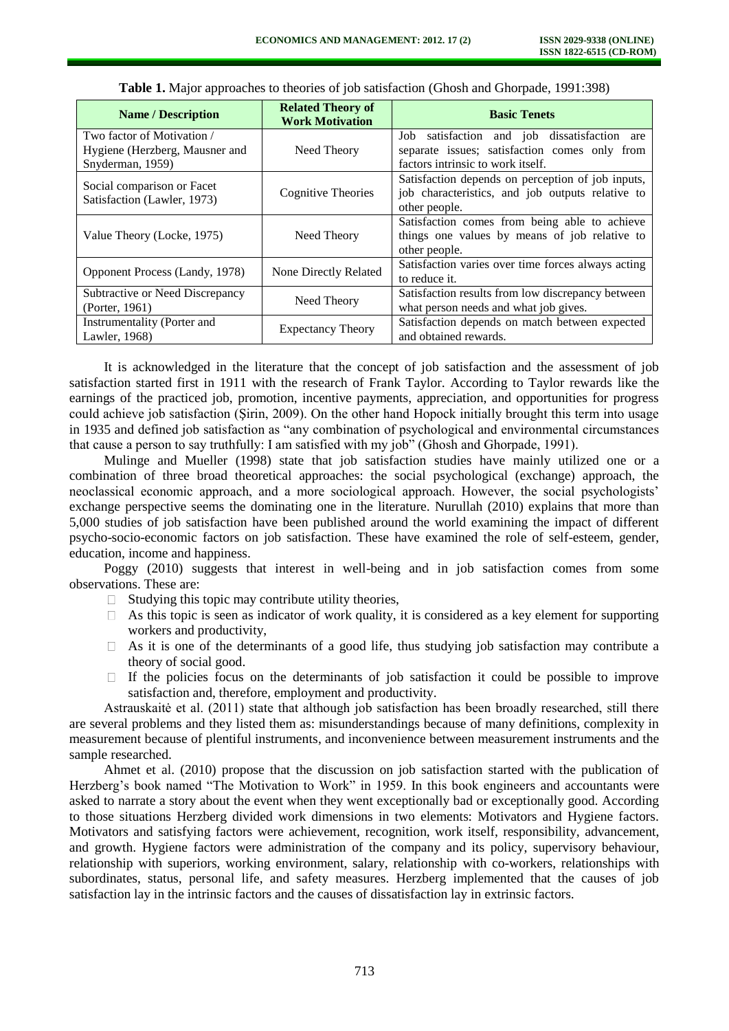| <b>Name / Description</b>                                                        | <b>Related Theory of</b><br><b>Work Motivation</b> | <b>Basic Tenets</b>                                                                                                                |
|----------------------------------------------------------------------------------|----------------------------------------------------|------------------------------------------------------------------------------------------------------------------------------------|
| Two factor of Motivation /<br>Hygiene (Herzberg, Mausner and<br>Snyderman, 1959) | Need Theory                                        | Job satisfaction and job dissatisfaction are<br>separate issues; satisfaction comes only from<br>factors intrinsic to work itself. |
| Social comparison or Facet<br>Satisfaction (Lawler, 1973)                        | Cognitive Theories                                 | Satisfaction depends on perception of job inputs,<br>job characteristics, and job outputs relative to<br>other people.             |
| Value Theory (Locke, 1975)                                                       | Need Theory                                        | Satisfaction comes from being able to achieve<br>things one values by means of job relative to<br>other people.                    |
| <b>Opponent Process (Landy, 1978)</b>                                            | None Directly Related                              | Satisfaction varies over time forces always acting<br>to reduce it.                                                                |
| Subtractive or Need Discrepancy<br>(Porter, 1961)                                | Need Theory                                        | Satisfaction results from low discrepancy between<br>what person needs and what job gives.                                         |
| Instrumentality (Porter and<br>Lawler, 1968)                                     | <b>Expectancy Theory</b>                           | Satisfaction depends on match between expected<br>and obtained rewards.                                                            |

| Table 1. Major approaches to theories of job satisfaction (Ghosh and Ghorpade, 1991:398) |
|------------------------------------------------------------------------------------------|
|------------------------------------------------------------------------------------------|

It is acknowledged in the literature that the concept of job satisfaction and the assessment of job satisfaction started first in 1911 with the research of Frank Taylor. According to Taylor rewards like the earnings of the practiced job, promotion, incentive payments, appreciation, and opportunities for progress could achieve job satisfaction (Şirin, 2009). On the other hand Hopock initially brought this term into usage in 1935 and defined job satisfaction as "any combination of psychological and environmental circumstances that cause a person to say truthfully: I am satisfied with my job" (Ghosh and Ghorpade, 1991).

Mulinge and Mueller (1998) state that job satisfaction studies have mainly utilized one or a combination of three broad theoretical approaches: the social psychological (exchange) approach, the neoclassical economic approach, and a more sociological approach. However, the social psychologists' exchange perspective seems the dominating one in the literature. Nurullah (2010) explains that more than 5,000 studies of job satisfaction have been published around the world examining the impact of different psycho-socio-economic factors on job satisfaction. These have examined the role of self-esteem, gender, education, income and happiness.

Poggy (2010) suggests that interest in well-being and in job satisfaction comes from some observations. These are:

- $\Box$  Studying this topic may contribute utility theories,
- As this topic is seen as indicator of work quality, it is considered as a key element for supporting workers and productivity,
- As it is one of the determinants of a good life, thus studying job satisfaction may contribute a  $\Box$ theory of social good.
- If the policies focus on the determinants of job satisfaction it could be possible to improve  $\Box$ satisfaction and, therefore, employment and productivity.

Astrauskaitė et al. (2011) state that although job satisfaction has been broadly researched, still there are several problems and they listed them as: misunderstandings because of many definitions, complexity in measurement because of plentiful instruments, and inconvenience between measurement instruments and the sample researched.

Ahmet et al. (2010) propose that the discussion on job satisfaction started with the publication of Herzberg's book named "The Motivation to Work" in 1959. In this book engineers and accountants were asked to narrate a story about the event when they went exceptionally bad or exceptionally good. According to those situations Herzberg divided work dimensions in two elements: Motivators and Hygiene factors. Motivators and satisfying factors were achievement, recognition, work itself, responsibility, advancement, and growth. Hygiene factors were administration of the company and its policy, supervisory behaviour, relationship with superiors, working environment, salary, relationship with co-workers, relationships with subordinates, status, personal life, and safety measures. Herzberg implemented that the causes of job satisfaction lay in the intrinsic factors and the causes of dissatisfaction lay in extrinsic factors.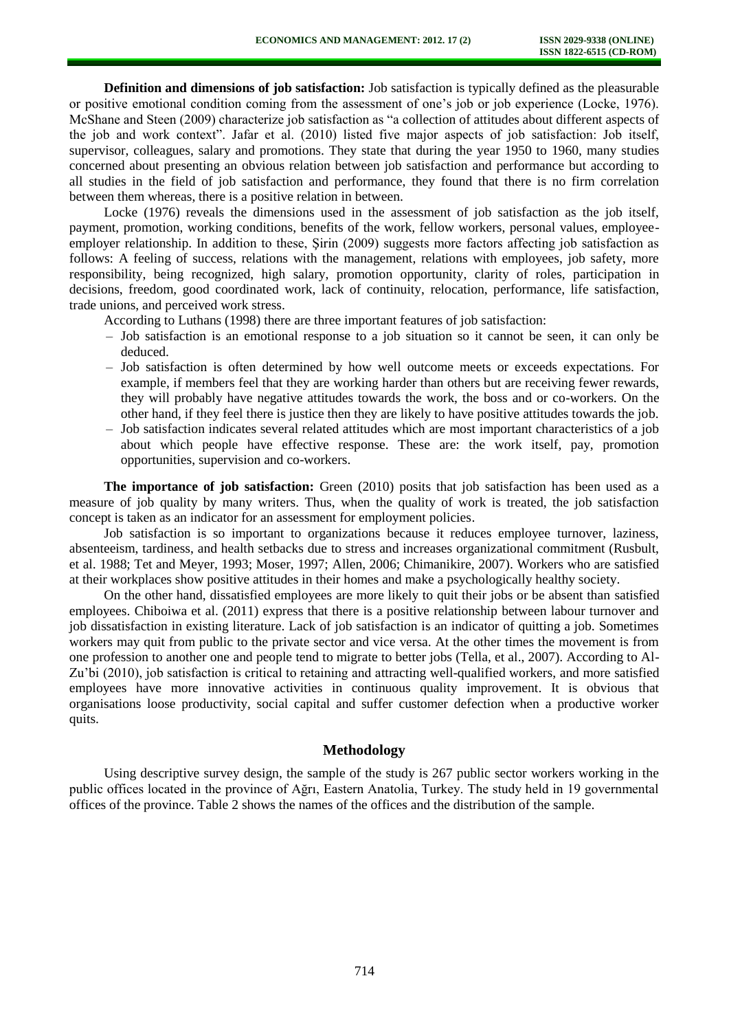**Definition and dimensions of job satisfaction:** Job satisfaction is typically defined as the pleasurable or positive emotional condition coming from the assessment of one's job or job experience (Locke, 1976). McShane and Steen (2009) characterize job satisfaction as "a collection of attitudes about different aspects of the job and work context". Jafar et al. (2010) listed five major aspects of job satisfaction: Job itself, supervisor, colleagues, salary and promotions. They state that during the year 1950 to 1960, many studies concerned about presenting an obvious relation between job satisfaction and performance but according to all studies in the field of job satisfaction and performance, they found that there is no firm correlation between them whereas, there is a positive relation in between.

Locke (1976) reveals the dimensions used in the assessment of job satisfaction as the job itself, payment, promotion, working conditions, benefits of the work, fellow workers, personal values, employeeemployer relationship. In addition to these, Şirin (2009) suggests more factors affecting job satisfaction as follows: A feeling of success, relations with the management, relations with employees, job safety, more responsibility, being recognized, high salary, promotion opportunity, clarity of roles, participation in decisions, freedom, good coordinated work, lack of continuity, relocation, performance, life satisfaction, trade unions, and perceived work stress.

According to Luthans (1998) there are three important features of job satisfaction:

- Job satisfaction is an emotional response to a job situation so it cannot be seen, it can only be deduced.
- Job satisfaction is often determined by how well outcome meets or exceeds expectations. For example, if members feel that they are working harder than others but are receiving fewer rewards, they will probably have negative attitudes towards the work, the boss and or co-workers. On the other hand, if they feel there is justice then they are likely to have positive attitudes towards the job.
- Job satisfaction indicates several related attitudes which are most important characteristics of a job about which people have effective response. These are: the work itself, pay, promotion opportunities, supervision and co-workers.

**The importance of job satisfaction:** Green (2010) posits that job satisfaction has been used as a measure of job quality by many writers. Thus, when the quality of work is treated, the job satisfaction concept is taken as an indicator for an assessment for employment policies.

Job satisfaction is so important to organizations because it reduces employee turnover, laziness, absenteeism, tardiness, and health setbacks due to stress and increases organizational commitment (Rusbult, et al. 1988; Tet and Meyer, 1993; Moser, 1997; Allen, 2006; Chimanikire, 2007). Workers who are satisfied at their workplaces show positive attitudes in their homes and make a psychologically healthy society.

On the other hand, dissatisfied employees are more likely to quit their jobs or be absent than satisfied employees. Chiboiwa et al. (2011) express that there is a positive relationship between labour turnover and job dissatisfaction in existing literature. Lack of job satisfaction is an indicator of quitting a job. Sometimes workers may quit from public to the private sector and vice versa. At the other times the movement is from one profession to another one and people tend to migrate to better jobs (Tella, et al., 2007). According to Al-Zu'bi (2010), job satisfaction is critical to retaining and attracting well-qualified workers, and more satisfied employees have more innovative activities in continuous quality improvement. It is obvious that organisations loose productivity, social capital and suffer customer defection when a productive worker quits.

#### **Methodology**

Using descriptive survey design, the sample of the study is 267 public sector workers working in the public offices located in the province of Ağrı, Eastern Anatolia, Turkey. The study held in 19 governmental offices of the province. Table 2 shows the names of the offices and the distribution of the sample.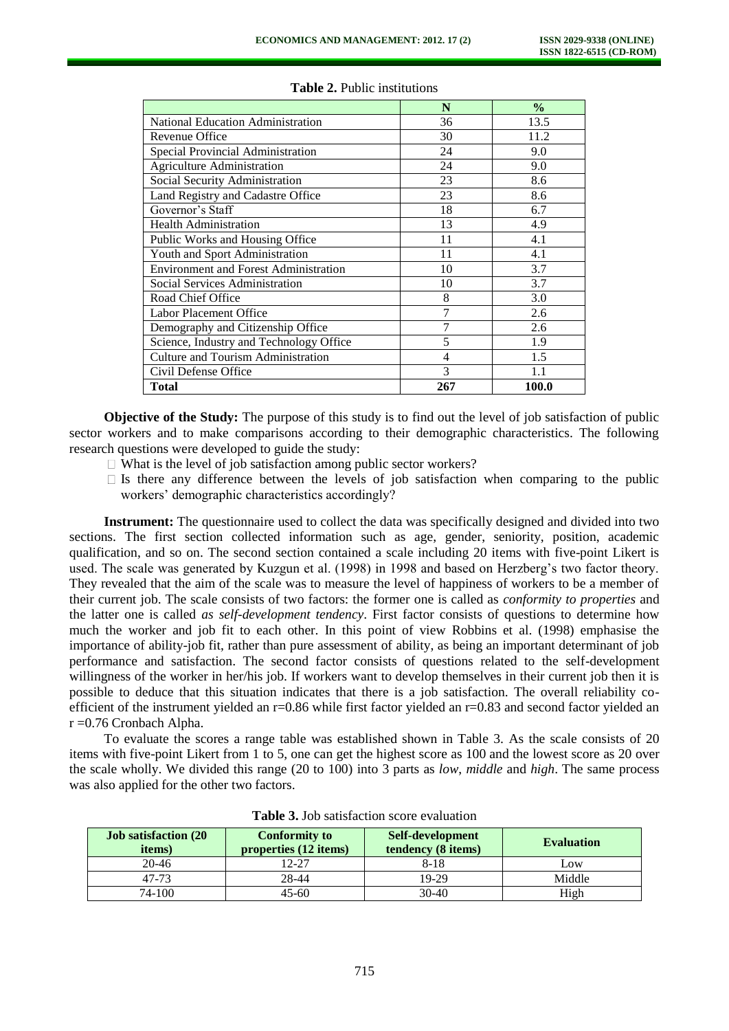|                                              | N              | $\frac{0}{0}$ |
|----------------------------------------------|----------------|---------------|
| <b>National Education Administration</b>     | 36             | 13.5          |
| Revenue Office                               | 30             | 11.2          |
| Special Provincial Administration            | 24             | 9.0           |
| <b>Agriculture Administration</b>            | 24             | 9.0           |
| Social Security Administration               | 23             | 8.6           |
| Land Registry and Cadastre Office            | 23             | 8.6           |
| Governor's Staff                             | 18             | 6.7           |
| <b>Health Administration</b>                 | 13             | 4.9           |
| Public Works and Housing Office              | 11             | 4.1           |
| Youth and Sport Administration               | 11             | 4.1           |
| <b>Environment and Forest Administration</b> | 10             | 3.7           |
| Social Services Administration               | 10             | 3.7           |
| Road Chief Office                            | 8              | 3.0           |
| Labor Placement Office                       | 7              | 2.6           |
| Demography and Citizenship Office            | 7              | 2.6           |
| Science, Industry and Technology Office      | 5              | 1.9           |
| <b>Culture and Tourism Administration</b>    | $\overline{4}$ | 1.5           |
| Civil Defense Office                         | 3              | 1.1           |
| Total                                        | 267            | 100.0         |

#### **Table 2.** Public institutions

**Objective of the Study:** The purpose of this study is to find out the level of job satisfaction of public sector workers and to make comparisons according to their demographic characteristics. The following research questions were developed to guide the study:

- $\Box$  What is the level of job satisfaction among public sector workers?
- $\Box$  Is there any difference between the levels of job satisfaction when comparing to the public workers' demographic characteristics accordingly?

**Instrument:** The questionnaire used to collect the data was specifically designed and divided into two sections. The first section collected information such as age, gender, seniority, position, academic qualification, and so on. The second section contained a scale including 20 items with five-point Likert is used. The scale was generated by Kuzgun et al. (1998) in 1998 and based on Herzberg's two factor theory. They revealed that the aim of the scale was to measure the level of happiness of workers to be a member of their current job. The scale consists of two factors: the former one is called as *conformity to properties* and the latter one is called *as self-development tendency*. First factor consists of questions to determine how much the worker and job fit to each other. In this point of view Robbins et al. (1998) emphasise the importance of ability-job fit, rather than pure assessment of ability, as being an important determinant of job performance and satisfaction. The second factor consists of questions related to the self-development willingness of the worker in her/his job. If workers want to develop themselves in their current job then it is possible to deduce that this situation indicates that there is a job satisfaction. The overall reliability coefficient of the instrument yielded an r=0.86 while first factor yielded an r=0.83 and second factor yielded an r =0.76 Cronbach Alpha.

To evaluate the scores a range table was established shown in Table 3. As the scale consists of 20 items with five-point Likert from 1 to 5, one can get the highest score as 100 and the lowest score as 20 over the scale wholly. We divided this range (20 to 100) into 3 parts as *low*, *middle* and *high*. The same process was also applied for the other two factors.

| <b>Job satisfaction (20)</b><br><i>items</i> ) | <b>Conformity to</b><br>properties (12 items) | Self-development<br>tendency (8 items) | <b>Evaluation</b> |
|------------------------------------------------|-----------------------------------------------|----------------------------------------|-------------------|
| $20 - 46$                                      | 12-27                                         | 8-18                                   | $L$ <sup>OW</sup> |
| 47-73                                          | 28-44                                         | 19-29                                  | Middle            |
| 74-100                                         | $45 - 60$                                     | $30-40$                                | High              |

**Table 3.** Job satisfaction score evaluation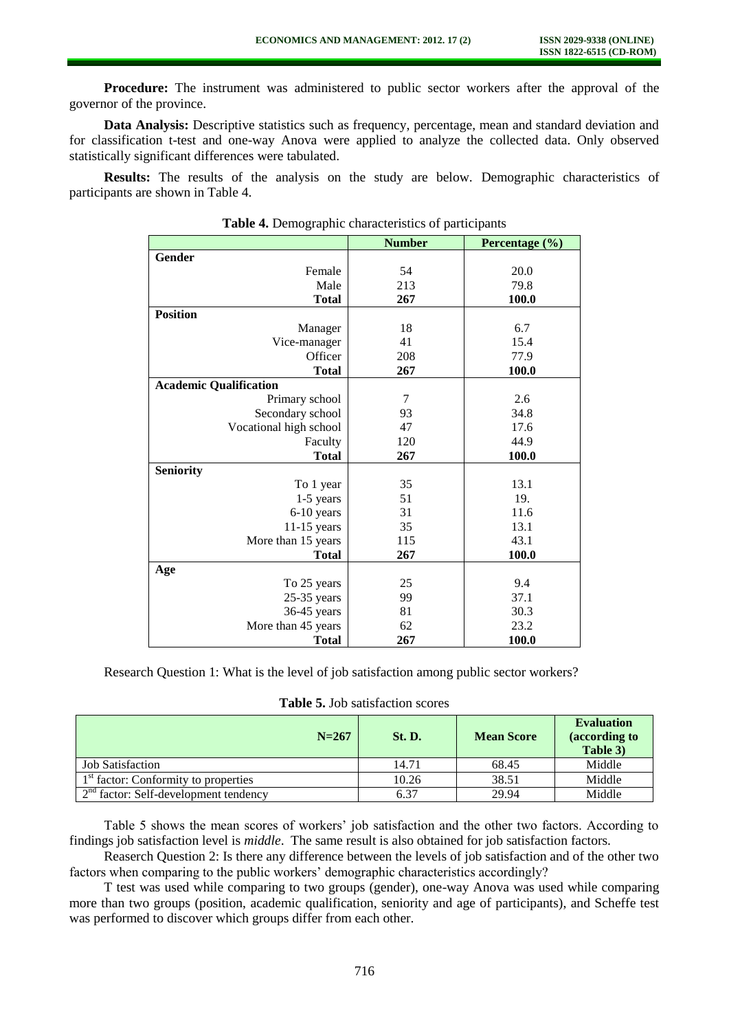**Procedure:** The instrument was administered to public sector workers after the approval of the governor of the province.

**Data Analysis:** Descriptive statistics such as frequency, percentage, mean and standard deviation and for classification t-test and one-way Anova were applied to analyze the collected data. Only observed statistically significant differences were tabulated.

**Results:** The results of the analysis on the study are below. Demographic characteristics of participants are shown in Table 4.

|                               | <b>Number</b> | Percentage (%) |
|-------------------------------|---------------|----------------|
| Gender                        |               |                |
| Female                        | 54            | 20.0           |
| Male                          | 213           | 79.8           |
| <b>Total</b>                  | 267           | 100.0          |
| <b>Position</b>               |               |                |
| Manager                       | 18            | 6.7            |
| Vice-manager                  | 41            | 15.4           |
| Officer                       | 208           | 77.9           |
| <b>Total</b>                  | 267           | 100.0          |
| <b>Academic Qualification</b> |               |                |
| Primary school                | 7             | 2.6            |
| Secondary school              | 93            | 34.8           |
| Vocational high school        | 47            | 17.6           |
| Faculty                       | 120           | 44.9           |
| <b>Total</b>                  | 267           | 100.0          |
| <b>Seniority</b>              |               |                |
| To 1 year                     | 35            | 13.1           |
| $1-5$ years                   | 51            | 19.            |
| 6-10 years                    | 31            | 11.6           |
| $11-15$ years                 | 35            | 13.1           |
| More than 15 years            | 115           | 43.1           |
| <b>Total</b>                  | 267           | 100.0          |
| Age                           |               |                |
| To 25 years                   | 25            | 9.4            |
| $25-35$ years                 | 99            | 37.1           |
| 36-45 years                   | 81            | 30.3           |
| More than 45 years            | 62            | 23.2           |
| <b>Total</b>                  | 267           | 100.0          |

**Table 4.** Demographic characteristics of participants

Research Question 1: What is the level of job satisfaction among public sector workers?

|  |  |  |  | <b>Table 5. Job satisfaction scores</b> |  |
|--|--|--|--|-----------------------------------------|--|
|--|--|--|--|-----------------------------------------|--|

| $N = 267$                                        | <b>St. D.</b> | <b>Mean Score</b> | <b>Evaluation</b><br>(according to<br>Table 3) |
|--------------------------------------------------|---------------|-------------------|------------------------------------------------|
| <b>Job Satisfaction</b>                          | 14.71         | 68.45             | Middle                                         |
| 1 <sup>st</sup> factor: Conformity to properties | 10.26         | 38.51             | Middle                                         |
| $2nd$ factor: Self-development tendency          | 6.37          | 29.94             | Middle                                         |

Table 5 shows the mean scores of workers' job satisfaction and the other two factors. According to findings job satisfaction level is *middle*. The same result is also obtained for job satisfaction factors.

Reaserch Question 2: Is there any difference between the levels of job satisfaction and of the other two factors when comparing to the public workers' demographic characteristics accordingly?

T test was used while comparing to two groups (gender), one-way Anova was used while comparing more than two groups (position, academic qualification, seniority and age of participants), and Scheffe test was performed to discover which groups differ from each other.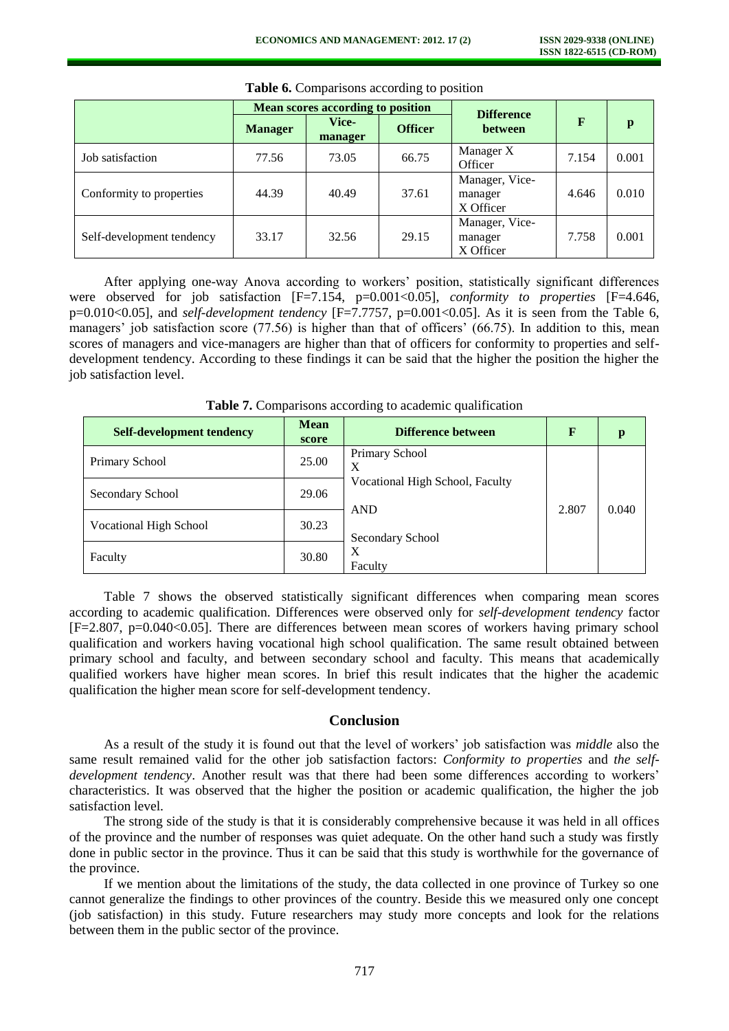|                           |                | Mean scores according to position |                | <b>Difference</b>                      |              |       |
|---------------------------|----------------|-----------------------------------|----------------|----------------------------------------|--------------|-------|
|                           | <b>Manager</b> | <b>Vice-</b><br>manager           | <b>Officer</b> | <b>between</b>                         | $\mathbf{F}$ | p     |
| Job satisfaction          | 77.56          | 73.05                             | 66.75          | Manager X<br>Officer                   | 7.154        | 0.001 |
| Conformity to properties  | 44.39          | 40.49                             | 37.61          | Manager, Vice-<br>manager<br>X Officer | 4.646        | 0.010 |
| Self-development tendency | 33.17          | 32.56                             | 29.15          | Manager, Vice-<br>manager<br>X Officer | 7.758        | 0.001 |

**Table 6.** Comparisons according to position

After applying one-way Anova according to workers' position, statistically significant differences were observed for job satisfaction [F=7.154, p=0.001<0.05], *conformity to properties* [F=4.646, p=0.010<0.05], and *self-development tendency* [F=7.7757, p=0.001<0.05]. As it is seen from the Table 6, managers' job satisfaction score (77.56) is higher than that of officers' (66.75). In addition to this, mean scores of managers and vice-managers are higher than that of officers for conformity to properties and selfdevelopment tendency. According to these findings it can be said that the higher the position the higher the job satisfaction level.

| <b>Self-development tendency</b> | <b>Mean</b><br>score | <b>Difference between</b>       | $\mathbf F$ | р     |
|----------------------------------|----------------------|---------------------------------|-------------|-------|
| Primary School                   | 25.00                | Primary School<br>Χ             |             |       |
| Secondary School                 | 29.06                | Vocational High School, Faculty | 2.807       |       |
| <b>Vocational High School</b>    | 30.23                | <b>AND</b><br>Secondary School  |             | 0.040 |
| Faculty                          | 30.80                | X<br>Faculty                    |             |       |

**Table 7.** Comparisons according to academic qualification

Table 7 shows the observed statistically significant differences when comparing mean scores according to academic qualification. Differences were observed only for *self-development tendency* factor [F=2.807, p=0.040<0.05]. There are differences between mean scores of workers having primary school qualification and workers having vocational high school qualification. The same result obtained between primary school and faculty, and between secondary school and faculty. This means that academically qualified workers have higher mean scores. In brief this result indicates that the higher the academic qualification the higher mean score for self-development tendency.

#### **Conclusion**

As a result of the study it is found out that the level of workers' job satisfaction was *middle* also the same result remained valid for the other job satisfaction factors: *Conformity to properties* and *the selfdevelopment tendency*. Another result was that there had been some differences according to workers' characteristics. It was observed that the higher the position or academic qualification, the higher the job satisfaction level.

The strong side of the study is that it is considerably comprehensive because it was held in all offices of the province and the number of responses was quiet adequate. On the other hand such a study was firstly done in public sector in the province. Thus it can be said that this study is worthwhile for the governance of the province.

If we mention about the limitations of the study, the data collected in one province of Turkey so one cannot generalize the findings to other provinces of the country. Beside this we measured only one concept (job satisfaction) in this study. Future researchers may study more concepts and look for the relations between them in the public sector of the province.